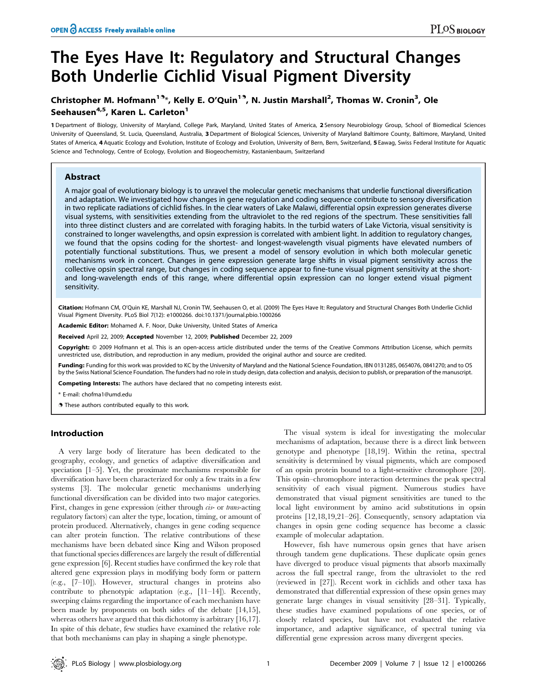# The Eyes Have It: Regulatory and Structural Changes Both Underlie Cichlid Visual Pigment Diversity

## Christopher M. Hofmann<sup>19</sup>\*, Kelly E. O'Quin<sup>19</sup>, N. Justin Marshall<sup>2</sup>, Thomas W. Cronin<sup>3</sup>, Ole Seehausen<sup>4,5</sup>, Karen L. Carleton<sup>1</sup>

1 Department of Biology, University of Maryland, College Park, Maryland, United States of America, 2 Sensory Neurobiology Group, School of Biomedical Sciences University of Queensland, St. Lucia, Queensland, Australia, 3Department of Biological Sciences, University of Maryland Baltimore County, Baltimore, Maryland, United States of America, 4 Aquatic Ecology and Evolution, Institute of Ecology and Evolution, University of Bern, Bern, Switzerland, 5 Eawag, Swiss Federal Institute for Aquatic Science and Technology, Centre of Ecology, Evolution and Biogeochemistry, Kastanienbaum, Switzerland

## Abstract

A major goal of evolutionary biology is to unravel the molecular genetic mechanisms that underlie functional diversification and adaptation. We investigated how changes in gene regulation and coding sequence contribute to sensory diversification in two replicate radiations of cichlid fishes. In the clear waters of Lake Malawi, differential opsin expression generates diverse visual systems, with sensitivities extending from the ultraviolet to the red regions of the spectrum. These sensitivities fall into three distinct clusters and are correlated with foraging habits. In the turbid waters of Lake Victoria, visual sensitivity is constrained to longer wavelengths, and opsin expression is correlated with ambient light. In addition to regulatory changes, we found that the opsins coding for the shortest- and longest-wavelength visual pigments have elevated numbers of potentially functional substitutions. Thus, we present a model of sensory evolution in which both molecular genetic mechanisms work in concert. Changes in gene expression generate large shifts in visual pigment sensitivity across the collective opsin spectral range, but changes in coding sequence appear to fine-tune visual pigment sensitivity at the shortand long-wavelength ends of this range, where differential opsin expression can no longer extend visual pigment sensitivity.

Citation: Hofmann CM, O'Quin KE, Marshall NJ, Cronin TW, Seehausen O, et al. (2009) The Eyes Have It: Regulatory and Structural Changes Both Underlie Cichlid Visual Pigment Diversity. PLoS Biol 7(12): e1000266. doi:10.1371/journal.pbio.1000266

Academic Editor: Mohamed A. F. Noor, Duke University, United States of America

Received April 22, 2009; Accepted November 12, 2009; Published December 22, 2009

Copyright: © 2009 Hofmann et al. This is an open-access article distributed under the terms of the Creative Commons Attribution License, which permits unrestricted use, distribution, and reproduction in any medium, provided the original author and source are credited.

**Funding:** Funding for this work was provided to KC by the University of Maryland and the National Science Foundation, IBN 0131285, 0654076, 0841270; and to OS<br>by the Swiss National Science Foundation. The funders had no r

Competing Interests: The authors have declared that no competing interests exist.

\* E-mail: chofma1@umd.edu

. These authors contributed equally to this work.

## Introduction

A very large body of literature has been dedicated to the geography, ecology, and genetics of adaptive diversification and speciation [1–5]. Yet, the proximate mechanisms responsible for diversification have been characterized for only a few traits in a few systems [3]. The molecular genetic mechanisms underlying functional diversification can be divided into two major categories. First, changes in gene expression (either through *cis*- or *trans*-acting regulatory factors) can alter the type, location, timing, or amount of protein produced. Alternatively, changes in gene coding sequence can alter protein function. The relative contributions of these mechanisms have been debated since King and Wilson proposed that functional species differences are largely the result of differential gene expression [6]. Recent studies have confirmed the key role that altered gene expression plays in modifying body form or pattern (e.g., [7–10]). However, structural changes in proteins also contribute to phenotypic adaptation (e.g., [11–14]). Recently, sweeping claims regarding the importance of each mechanism have been made by proponents on both sides of the debate [14,15], whereas others have argued that this dichotomy is arbitrary [16,17]. In spite of this debate, few studies have examined the relative role that both mechanisms can play in shaping a single phenotype.

The visual system is ideal for investigating the molecular mechanisms of adaptation, because there is a direct link between genotype and phenotype [18,19]. Within the retina, spectral sensitivity is determined by visual pigments, which are composed of an opsin protein bound to a light-sensitive chromophore [20]. This opsin–chromophore interaction determines the peak spectral sensitivity of each visual pigment. Numerous studies have demonstrated that visual pigment sensitivities are tuned to the local light environment by amino acid substitutions in opsin proteins [12,18,19,21–26]. Consequently, sensory adaptation via changes in opsin gene coding sequence has become a classic example of molecular adaptation.

However, fish have numerous opsin genes that have arisen through tandem gene duplications. These duplicate opsin genes have diverged to produce visual pigments that absorb maximally across the full spectral range, from the ultraviolet to the red (reviewed in [27]). Recent work in cichlids and other taxa has demonstrated that differential expression of these opsin genes may generate large changes in visual sensitivity [28–31]. Typically, these studies have examined populations of one species, or of closely related species, but have not evaluated the relative importance, and adaptive significance, of spectral tuning via differential gene expression across many divergent species.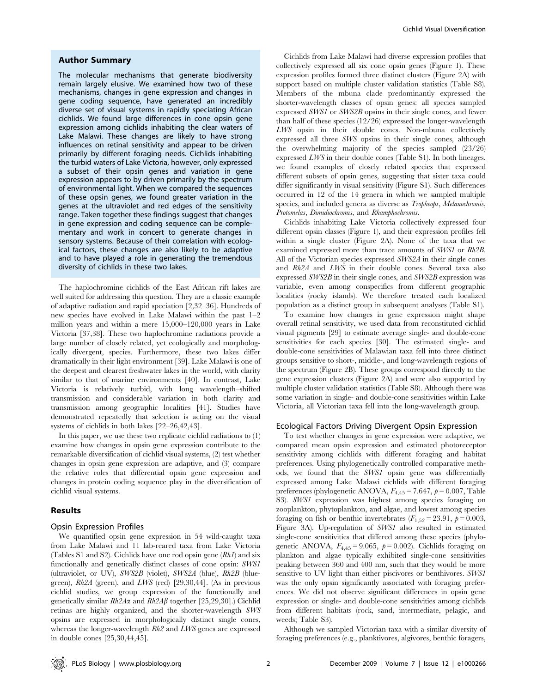#### Author Summary

The molecular mechanisms that generate biodiversity remain largely elusive. We examined how two of these mechanisms, changes in gene expression and changes in gene coding sequence, have generated an incredibly diverse set of visual systems in rapidly speciating African cichlids. We found large differences in cone opsin gene expression among cichlids inhabiting the clear waters of Lake Malawi. These changes are likely to have strong influences on retinal sensitivity and appear to be driven primarily by different foraging needs. Cichlids inhabiting the turbid waters of Lake Victoria, however, only expressed a subset of their opsin genes and variation in gene expression appears to by driven primarily by the spectrum of environmental light. When we compared the sequences of these opsin genes, we found greater variation in the genes at the ultraviolet and red edges of the sensitivity range. Taken together these findings suggest that changes in gene expression and coding sequence can be complementary and work in concert to generate changes in sensory systems. Because of their correlation with ecological factors, these changes are also likely to be adaptive and to have played a role in generating the tremendous diversity of cichlids in these two lakes.

The haplochromine cichlids of the East African rift lakes are well suited for addressing this question. They are a classic example of adaptive radiation and rapid speciation [2,32–36]. Hundreds of new species have evolved in Lake Malawi within the past 1–2 million years and within a mere 15,000–120,000 years in Lake Victoria [37,38]. These two haplochromine radiations provide a large number of closely related, yet ecologically and morphologically divergent, species. Furthermore, these two lakes differ dramatically in their light environment [39]. Lake Malawi is one of the deepest and clearest freshwater lakes in the world, with clarity similar to that of marine environments [40]. In contrast, Lake Victoria is relatively turbid, with long wavelength–shifted transmission and considerable variation in both clarity and transmission among geographic localities [41]. Studies have demonstrated repeatedly that selection is acting on the visual systems of cichlids in both lakes [22–26,42,43].

In this paper, we use these two replicate cichlid radiations to (1) examine how changes in opsin gene expression contribute to the remarkable diversification of cichlid visual systems, (2) test whether changes in opsin gene expression are adaptive, and (3) compare the relative roles that differential opsin gene expression and changes in protein coding sequence play in the diversification of cichlid visual systems.

### Results

## Opsin Expression Profiles

We quantified opsin gene expression in 54 wild-caught taxa from Lake Malawi and 11 lab-reared taxa from Lake Victoria (Tables S1 and S2). Cichlids have one rod opsin gene  $(Rh1)$  and six functionally and genetically distinct classes of cone opsin: SWS1 (ultraviolet, or UV), SWS2B (violet), SWS2A (blue), Rh2B (bluegreen), Rh2A (green), and LWS (red) [29,30,44]. (As in previous cichlid studies, we group expression of the functionally and genetically similar  $Rh2A\alpha$  and  $Rh2A\beta$  together [25,29,30].) Cichlid retinas are highly organized, and the shorter-wavelength SWS opsins are expressed in morphologically distinct single cones, whereas the longer-wavelength Rh2 and LWS genes are expressed in double cones [25,30,44,45].

Cichlids from Lake Malawi had diverse expression profiles that collectively expressed all six cone opsin genes (Figure 1). These expression profiles formed three distinct clusters (Figure 2A) with support based on multiple cluster validation statistics (Table S8). Members of the mbuna clade predominantly expressed the shorter-wavelength classes of opsin genes: all species sampled expressed SWS1 or SWS2B opsins in their single cones, and fewer than half of these species (12/26) expressed the longer-wavelength LWS opsin in their double cones. Non-mbuna collectively expressed all three SWS opsins in their single cones, although the overwhelming majority of the species sampled (23/26) expressed LWS in their double cones (Table S1). In both lineages, we found examples of closely related species that expressed different subsets of opsin genes, suggesting that sister taxa could differ significantly in visual sensitivity (Figure S1). Such differences occurred in 12 of the 14 genera in which we sampled multiple species, and included genera as diverse as Tropheops, Melanochromis, Protomelas, Dimidiochromis, and Rhamphochromis.

Cichlids inhabiting Lake Victoria collectively expressed four different opsin classes (Figure 1), and their expression profiles fell within a single cluster (Figure 2A). None of the taxa that we examined expressed more than trace amounts of SWS1 or Rh2B. All of the Victorian species expressed SWS2A in their single cones and Rh2A and LWS in their double cones. Several taxa also expressed SWS2B in their single cones, and SWS2B expression was variable, even among conspecifics from different geographic localities (rocky islands). We therefore treated each localized population as a distinct group in subsequent analyses (Table S1).

To examine how changes in gene expression might shape overall retinal sensitivity, we used data from reconstituted cichlid visual pigments [29] to estimate average single- and double-cone sensitivities for each species [30]. The estimated single- and double-cone sensitivities of Malawian taxa fell into three distinct groups sensitive to short-, middle-, and long-wavelength regions of the spectrum (Figure 2B). These groups correspond directly to the gene expression clusters (Figure 2A) and were also supported by multiple cluster validation statistics (Table S8). Although there was some variation in single- and double-cone sensitivities within Lake Victoria, all Victorian taxa fell into the long-wavelength group.

#### Ecological Factors Driving Divergent Opsin Expression

To test whether changes in gene expression were adaptive, we compared mean opsin expression and estimated photoreceptor sensitivity among cichlids with different foraging and habitat preferences. Using phylogenetically controlled comparative methods, we found that the SWS1 opsin gene was differentially expressed among Lake Malawi cichlids with different foraging preferences (phylogenetic ANOVA,  $F_{4,45}$  = 7.647,  $p$  = 0.007, Table S3). SWS1 expression was highest among species foraging on zooplankton, phytoplankton, and algae, and lowest among species foraging on fish or benthic invertebrates  $(F_{1,52} = 23.91, p = 0.003,$ Figure 3A). Up-regulation of SWS1 also resulted in estimated single-cone sensitivities that differed among these species (phylogenetic ANOVA,  $F_{4,45} = 9.065$ ,  $p = 0.002$ ). Cichlids foraging on plankton and algae typically exhibited single-cone sensitivities peaking between 360 and 400 nm, such that they would be more sensitive to UV light than either piscivores or benthivores. SWS1 was the only opsin significantly associated with foraging preferences. We did not observe significant differences in opsin gene expression or single- and double-cone sensitivities among cichlids from different habitats (rock, sand, intermediate, pelagic, and weeds; Table S3).

Although we sampled Victorian taxa with a similar diversity of foraging preferences (e.g., planktivores, algivores, benthic foragers,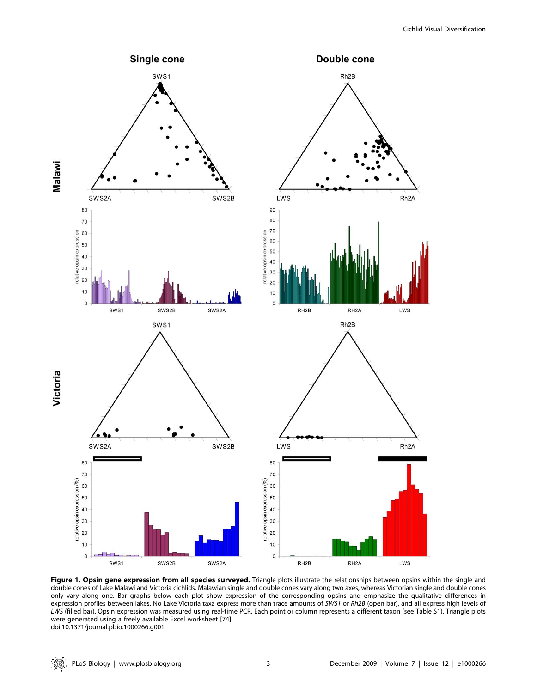

Figure 1. Opsin gene expression from all species surveyed. Triangle plots illustrate the relationships between opsins within the single and double cones of Lake Malawi and Victoria cichlids. Malawian single and double cones vary along two axes, whereas Victorian single and double cones only vary along one. Bar graphs below each plot show expression of the corresponding opsins and emphasize the qualitative differences in expression profiles between lakes. No Lake Victoria taxa express more than trace amounts of SWS1 or Rh2B (open bar), and all express high levels of LWS (filled bar). Opsin expression was measured using real-time PCR. Each point or column represents a different taxon (see Table S1). Triangle plots were generated using a freely available Excel worksheet [74]. doi:10.1371/journal.pbio.1000266.g001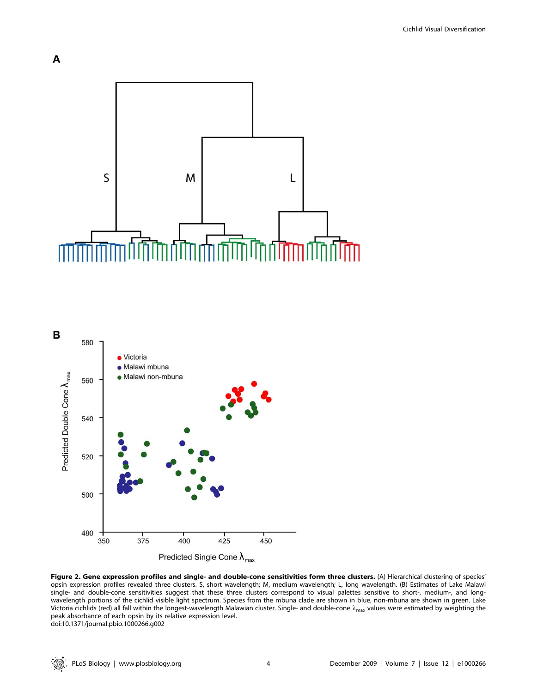![](_page_3_Figure_1.jpeg)

![](_page_3_Figure_2.jpeg)

Figure 2. Gene expression profiles and single- and double-cone sensitivities form three clusters. (A) Hierarchical clustering of species' opsin expression profiles revealed three clusters. S, short wavelength; M, medium wavelength; L, long wavelength. (B) Estimates of Lake Malawi single- and double-cone sensitivities suggest that these three clusters correspond to visual palettes sensitive to short-, medium-, and longwavelength portions of the cichlid visible light spectrum. Species from the mbuna clade are shown in blue, non-mbuna are shown in green. Lake Victoria cichlids (red) all fall within the longest-wavelength Malawian cluster. Single- and double-cone  $\lambda_{\rm max}$  values were estimated by weighting the peak absorbance of each opsin by its relative expression level. doi:10.1371/journal.pbio.1000266.g002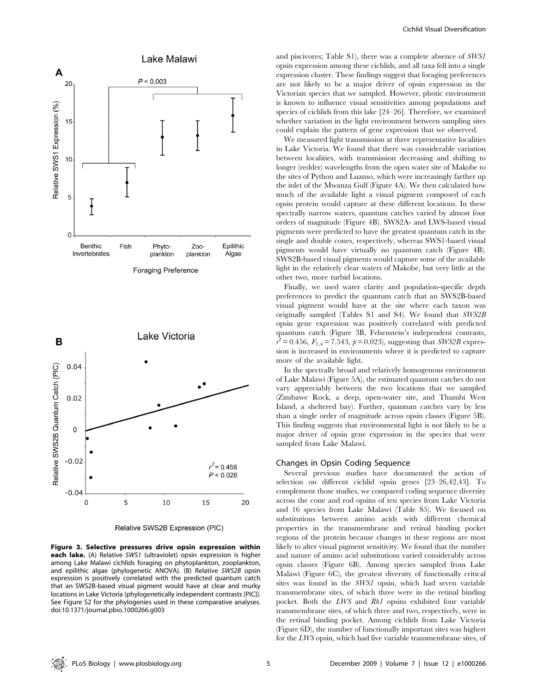![](_page_4_Figure_0.jpeg)

Figure 3. Selective pressures drive opsin expression within each lake. (A) Relative SWS1 (ultraviolet) opsin expression is higher among Lake Malawi cichlids foraging on phytoplankton, zooplankton, and epilithic algae (phylogenetic ANOVA). (B) Relative SWS2B opsin expression is positively correlated with the predicted quantum catch that an SWS2B-based visual pigment would have at clear and murky locations in Lake Victoria (phylogenetically independent contrasts [PIC]). See Figure S2 for the phylogenies used in these comparative analyses. doi:10.1371/journal.pbio.1000266.g003

and piscivores; Table S1), there was a complete absence of SWS1 opsin expression among these cichlids, and all taxa fell into a single expression cluster. These findings suggest that foraging preferences are not likely to be a major driver of opsin expression in the Victorian species that we sampled. However, photic environment is known to influence visual sensitivities among populations and species of cichlids from this lake [24–26]. Therefore, we examined whether variation in the light environment between sampling sites could explain the pattern of gene expression that we observed.

We measured light transmission at three representative localities in Lake Victoria. We found that there was considerable variation between localities, with transmission decreasing and shifting to longer (redder) wavelengths from the open water site of Makobe to the sites of Python and Luanso, which were increasingly farther up the inlet of the Mwanza Gulf (Figure 4A). We then calculated how much of the available light a visual pigment composed of each opsin protein would capture at these different locations. In these spectrally narrow waters, quantum catches varied by almost four orders of magnitude (Figure 4B). SWS2A- and LWS-based visual pigments were predicted to have the greatest quantum catch in the single and double cones, respectively, whereas SWS1-based visual pigments would have virtually no quantum catch (Figure 4B). SWS2B-based visual pigments would capture some of the available light in the relatively clear waters of Makobe, but very little at the other two, more turbid locations.

Finally, we used water clarity and population-specific depth preferences to predict the quantum catch that an SWS2B-based visual pigment would have at the site where each taxon was originally sampled (Tables S1 and S4). We found that SWS2B opsin gene expression was positively correlated with predicted quantum catch (Figure 3B, Felsenstein's independent contrasts,  $r^2 = 0.456$ ,  $F_{1,4} = 7.543$ ,  $p = 0.023$ ), suggesting that SWS2B expression is increased in environments where it is predicted to capture more of the available light.

In the spectrally broad and relatively homogenous environment of Lake Malawi (Figure 5A), the estimated quantum catches do not vary appreciably between the two locations that we sampled (Zimbawe Rock, a deep, open-water site, and Thumbi West Island, a sheltered bay). Further, quantum catches vary by less than a single order of magnitude across opsin classes (Figure 5B). This finding suggests that environmental light is not likely to be a major driver of opsin gene expression in the species that were sampled from Lake Malawi.

#### Changes in Opsin Coding Sequence

Several previous studies have documented the action of selection on different cichlid opsin genes [23–26,42,43]. To complement those studies, we compared coding sequence diversity across the cone and rod opsins of ten species from Lake Victoria and 16 species from Lake Malawi (Table S5). We focused on substitutions between amino acids with different chemical properties in the transmembrane and retinal binding pocket regions of the protein because changes in these regions are most likely to alter visual pigment sensitivity. We found that the number and nature of amino acid substitutions varied considerably across opsin classes (Figure 6B). Among species sampled from Lake Malawi (Figure 6C), the greatest diversity of functionally critical sites was found in the SWS1 opsin, which had seven variable transmembrane sites, of which three were in the retinal binding pocket. Both the LWS and Rh1 opsins exhibited four variable transmembrane sites, of which three and two, respectively, were in the retinal binding pocket. Among cichlids from Lake Victoria (Figure 6D), the number of functionally important sites was highest for the LWS opsin, which had five variable transmembrane sites, of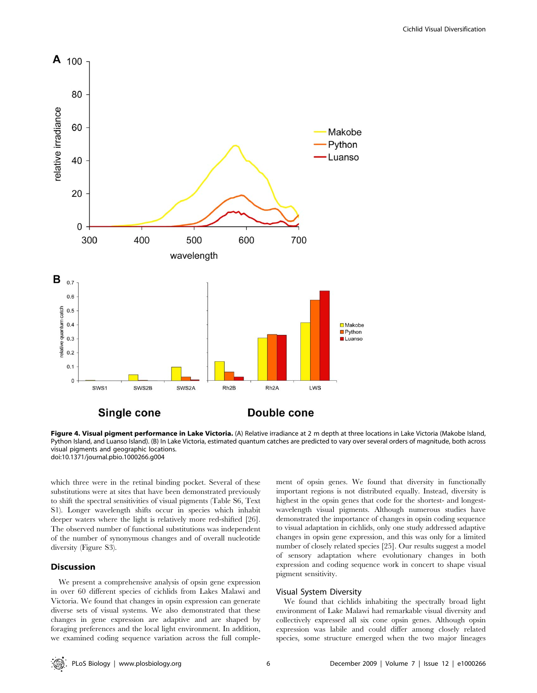![](_page_5_Figure_1.jpeg)

Figure 4. Visual pigment performance in Lake Victoria. (A) Relative irradiance at 2 m depth at three locations in Lake Victoria (Makobe Island, Python Island, and Luanso Island). (B) In Lake Victoria, estimated quantum catches are predicted to vary over several orders of magnitude, both across visual pigments and geographic locations. doi:10.1371/journal.pbio.1000266.g004

which three were in the retinal binding pocket. Several of these substitutions were at sites that have been demonstrated previously to shift the spectral sensitivities of visual pigments (Table S6, Text S1). Longer wavelength shifts occur in species which inhabit deeper waters where the light is relatively more red-shifted [26]. The observed number of functional substitutions was independent of the number of synonymous changes and of overall nucleotide diversity (Figure S3).

## Discussion

We present a comprehensive analysis of opsin gene expression in over 60 different species of cichlids from Lakes Malawi and Victoria. We found that changes in opsin expression can generate diverse sets of visual systems. We also demonstrated that these changes in gene expression are adaptive and are shaped by foraging preferences and the local light environment. In addition, we examined coding sequence variation across the full complement of opsin genes. We found that diversity in functionally important regions is not distributed equally. Instead, diversity is highest in the opsin genes that code for the shortest- and longestwavelength visual pigments. Although numerous studies have demonstrated the importance of changes in opsin coding sequence to visual adaptation in cichlids, only one study addressed adaptive changes in opsin gene expression, and this was only for a limited number of closely related species [25]. Our results suggest a model of sensory adaptation where evolutionary changes in both expression and coding sequence work in concert to shape visual pigment sensitivity.

## Visual System Diversity

We found that cichlids inhabiting the spectrally broad light environment of Lake Malawi had remarkable visual diversity and collectively expressed all six cone opsin genes. Although opsin expression was labile and could differ among closely related species, some structure emerged when the two major lineages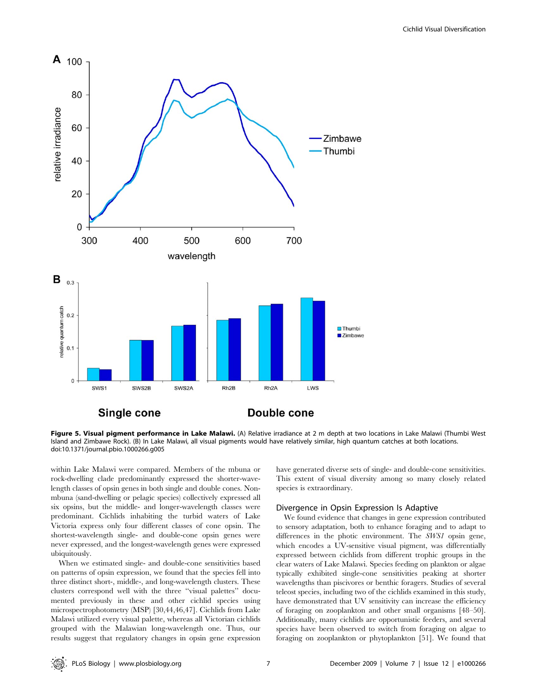![](_page_6_Figure_1.jpeg)

Figure 5. Visual pigment performance in Lake Malawi. (A) Relative irradiance at 2 m depth at two locations in Lake Malawi (Thumbi West Island and Zimbawe Rock). (B) In Lake Malawi, all visual pigments would have relatively similar, high quantum catches at both locations. doi:10.1371/journal.pbio.1000266.g005

within Lake Malawi were compared. Members of the mbuna or rock-dwelling clade predominantly expressed the shorter-wavelength classes of opsin genes in both single and double cones. Nonmbuna (sand-dwelling or pelagic species) collectively expressed all six opsins, but the middle- and longer-wavelength classes were predominant. Cichlids inhabiting the turbid waters of Lake Victoria express only four different classes of cone opsin. The shortest-wavelength single- and double-cone opsin genes were never expressed, and the longest-wavelength genes were expressed ubiquitously.

When we estimated single- and double-cone sensitivities based on patterns of opsin expression, we found that the species fell into three distinct short-, middle-, and long-wavelength clusters. These clusters correspond well with the three ''visual palettes'' documented previously in these and other cichlid species using microspectrophotometry (MSP) [30,44,46,47]. Cichlids from Lake Malawi utilized every visual palette, whereas all Victorian cichlids grouped with the Malawian long-wavelength one. Thus, our results suggest that regulatory changes in opsin gene expression have generated diverse sets of single- and double-cone sensitivities. This extent of visual diversity among so many closely related species is extraordinary.

#### Divergence in Opsin Expression Is Adaptive

We found evidence that changes in gene expression contributed to sensory adaptation, both to enhance foraging and to adapt to differences in the photic environment. The SWS1 opsin gene, which encodes a UV-sensitive visual pigment, was differentially expressed between cichlids from different trophic groups in the clear waters of Lake Malawi. Species feeding on plankton or algae typically exhibited single-cone sensitivities peaking at shorter wavelengths than piscivores or benthic foragers. Studies of several teleost species, including two of the cichlids examined in this study, have demonstrated that UV sensitivity can increase the efficiency of foraging on zooplankton and other small organisms [48–50]. Additionally, many cichlids are opportunistic feeders, and several species have been observed to switch from foraging on algae to foraging on zooplankton or phytoplankton [51]. We found that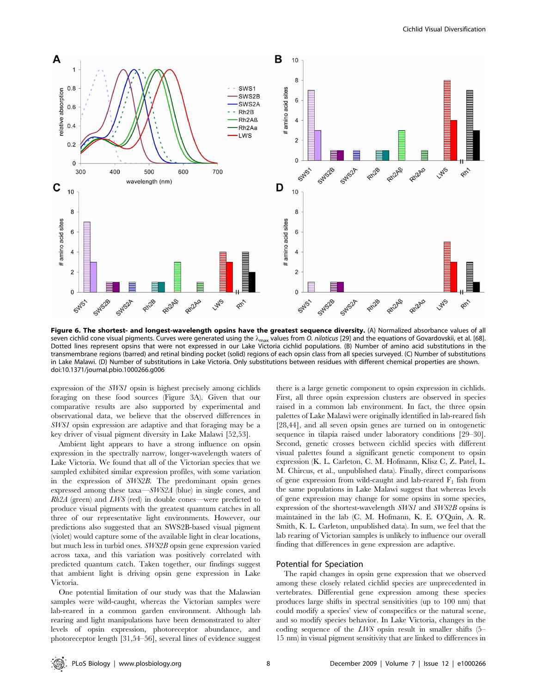![](_page_7_Figure_1.jpeg)

Figure 6. The shortest- and longest-wavelength opsins have the greatest sequence diversity. (A) Normalized absorbance values of all seven cichlid cone visual pigments. Curves were generated using the  $\lambda_{\text{max}}$  values from O. niloticus [29] and the equations of Govardovskii, et al. [68]. Dotted lines represent opsins that were not expressed in our Lake Victoria cichlid populations. (B) Number of amino acid substitutions in the transmembrane regions (barred) and retinal binding pocket (solid) regions of each opsin class from all species surveyed. (C) Number of substitutions in Lake Malawi. (D) Number of substitutions in Lake Victoria. Only substitutions between residues with different chemical properties are shown. doi:10.1371/journal.pbio.1000266.g006

expression of the SWS1 opsin is highest precisely among cichlids foraging on these food sources (Figure 3A). Given that our comparative results are also supported by experimental and observational data, we believe that the observed differences in SWS1 opsin expression are adaptive and that foraging may be a key driver of visual pigment diversity in Lake Malawi [52,53].

Ambient light appears to have a strong influence on opsin expression in the spectrally narrow, longer-wavelength waters of Lake Victoria. We found that all of the Victorian species that we sampled exhibited similar expression profiles, with some variation in the expression of SWS2B. The predominant opsin genes expressed among these taxa—SWS2A (blue) in single cones, and Rh2A (green) and LWS (red) in double cones—were predicted to produce visual pigments with the greatest quantum catches in all three of our representative light environments. However, our predictions also suggested that an SWS2B-based visual pigment (violet) would capture some of the available light in clear locations, but much less in turbid ones. SWS2B opsin gene expression varied across taxa, and this variation was positively correlated with predicted quantum catch. Taken together, our findings suggest that ambient light is driving opsin gene expression in Lake Victoria.

One potential limitation of our study was that the Malawian samples were wild-caught, whereas the Victorian samples were lab-reared in a common garden environment. Although lab rearing and light manipulations have been demonstrated to alter levels of opsin expression, photoreceptor abundance, and photoreceptor length [31,54–56], several lines of evidence suggest

there is a large genetic component to opsin expression in cichlids. First, all three opsin expression clusters are observed in species raised in a common lab environment. In fact, the three opsin palettes of Lake Malawi were originally identified in lab-reared fish [28,44], and all seven opsin genes are turned on in ontogenetic sequence in tilapia raised under laboratory conditions [29–30]. Second, genetic crosses between cichlid species with different visual palettes found a significant genetic component to opsin expression (K. L. Carleton, C. M. Hofmann, Klisz C, Z. Patel, L. M. Chircus, et al., unpublished data). Finally, direct comparisons of gene expression from wild-caught and lab-reared  $F_1$  fish from the same populations in Lake Malawi suggest that whereas levels of gene expression may change for some opsins in some species, expression of the shortest-wavelength SWS1 and SWS2B opsins is maintained in the lab (C. M. Hofmann, K. E. O'Quin, A. R. Smith, K. L. Carleton, unpublished data). In sum, we feel that the lab rearing of Victorian samples is unlikely to influence our overall finding that differences in gene expression are adaptive.

## Potential for Speciation

The rapid changes in opsin gene expression that we observed among these closely related cichlid species are unprecedented in vertebrates. Differential gene expression among these species produces large shifts in spectral sensitivities (up to 100 nm) that could modify a species' view of conspecifics or the natural scene, and so modify species behavior. In Lake Victoria, changes in the coding sequence of the LWS opsin result in smaller shifts (5– 15 nm) in visual pigment sensitivity that are linked to differences in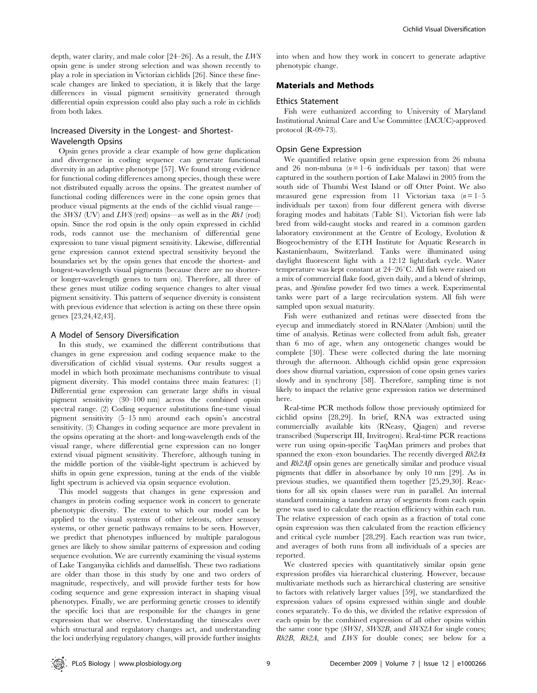depth, water clarity, and male color [24–26]. As a result, the LWS opsin gene is under strong selection and was shown recently to play a role in speciation in Victorian cichlids [26]. Since these finescale changes are linked to speciation, it is likely that the large differences in visual pigment sensitivity generated through differential opsin expression could also play such a role in cichlids from both lakes.

## Increased Diversity in the Longest- and Shortest-Wavelength Opsins

Opsin genes provide a clear example of how gene duplication and divergence in coding sequence can generate functional diversity in an adaptive phenotype [57]. We found strong evidence for functional coding differences among species, though these were not distributed equally across the opsins. The greatest number of functional coding differences were in the cone opsin genes that produce visual pigments at the ends of the cichlid visual range the SWS1 (UV) and LWS (red) opsins—as well as in the Rh1 (rod) opsin. Since the rod opsin is the only opsin expressed in cichlid rods, rods cannot use the mechanism of differential gene expression to tune visual pigment sensitivity. Likewise, differential gene expression cannot extend spectral sensitivity beyond the boundaries set by the opsin genes that encode the shortest- and longest-wavelength visual pigments (because there are no shorteror longer-wavelength genes to turn on). Therefore, all three of these genes must utilize coding sequence changes to alter visual pigment sensitivity. This pattern of sequence diversity is consistent with previous evidence that selection is acting on these three opsin genes [23,24,42,43].

#### A Model of Sensory Diversification

In this study, we examined the different contributions that changes in gene expression and coding sequence make to the diversification of cichlid visual systems. Our results suggest a model in which both proximate mechanisms contribute to visual pigment diversity. This model contains three main features: (1) Differential gene expression can generate large shifts in visual pigment sensitivity (30–100 nm) across the combined opsin spectral range. (2) Coding sequence substitutions fine-tune visual pigment sensitivity (5–15 nm) around each opsin's ancestral sensitivity. (3) Changes in coding sequence are more prevalent in the opsins operating at the short- and long-wavelength ends of the visual range, where differential gene expression can no longer extend visual pigment sensitivity. Therefore, although tuning in the middle portion of the visible-light spectrum is achieved by shifts in opsin gene expression, tuning at the ends of the visible light spectrum is achieved via opsin sequence evolution.

This model suggests that changes in gene expression and changes in protein coding sequence work in concert to generate phenotypic diversity. The extent to which our model can be applied to the visual systems of other teleosts, other sensory systems, or other genetic pathways remains to be seen. However, we predict that phenotypes influenced by multiple paralogous genes are likely to show similar patterns of expression and coding sequence evolution. We are currently examining the visual systems of Lake Tanganyika cichlids and damselfish. These two radiations are older than those in this study by one and two orders of magnitude, respectively, and will provide further tests for how coding sequence and gene expression interact in shaping visual phenotypes. Finally, we are performing genetic crosses to identify the specific loci that are responsible for the changes in gene expression that we observe. Understanding the timescales over which structural and regulatory changes act, and understanding the loci underlying regulatory changes, will provide further insights into when and how they work in concert to generate adaptive phenotypic change.

## Materials and Methods

#### Ethics Statement

Fish were euthanized according to University of Maryland Institutional Animal Care and Use Committee (IACUC)-approved protocol (R-09-73).

## Opsin Gene Expression

We quantified relative opsin gene expression from 26 mbuna and 26 non-mbuna ( $n = 1-6$  individuals per taxon) that were captured in the southern portion of Lake Malawi in 2005 from the south side of Thumbi West Island or off Otter Point. We also measured gene expression from 11 Victorian taxa  $(n=1-5)$ individuals per taxon) from four different genera with diverse foraging modes and habitats (Table S1). Victorian fish were lab bred from wild-caught stocks and reared in a common garden laboratory environment at the Centre of Ecology, Evolution & Biogeochemistry of the ETH Institute for Aquatic Research in Kastanienbaum, Switzerland. Tanks were illuminated using daylight fluorescent light with a 12:12 light:dark cycle. Water temperature was kept constant at 24–26<sup>°</sup>C. All fish were raised on a mix of commercial flake food, given daily, and a blend of shrimp, peas, and Spirulina powder fed two times a week. Experimental tanks were part of a large recirculation system. All fish were sampled upon sexual maturity.

Fish were euthanized and retinas were dissected from the eyecup and immediately stored in RNAlater (Ambion) until the time of analysis. Retinas were collected from adult fish, greater than 6 mo of age, when any ontogenetic changes would be complete [30]. These were collected during the late morning through the afternoon. Although cichlid opsin gene expression does show diurnal variation, expression of cone opsin genes varies slowly and in synchrony [58]. Therefore, sampling time is not likely to impact the relative gene expression ratios we determined here.

Real-time PCR methods follow those previously optimized for cichlid opsins [28,29]. In brief, RNA was extracted using commercially available kits (RNeasy, Qiagen) and reverse transcribed (Superscript III, Invitrogen). Real-time PCR reactions were run using opsin-specific TaqMan primers and probes that spanned the exon–exon boundaries. The recently diverged  $Rh2A\alpha$ and  $Rh2A\beta$  opsin genes are genetically similar and produce visual pigments that differ in absorbance by only 10 nm [29]. As in previous studies, we quantified them together [25,29,30]. Reactions for all six opsin classes were run in parallel. An internal standard containing a tandem array of segments from each opsin gene was used to calculate the reaction efficiency within each run. The relative expression of each opsin as a fraction of total cone opsin expression was then calculated from the reaction efficiency and critical cycle number [28,29]. Each reaction was run twice, and averages of both runs from all individuals of a species are reported.

We clustered species with quantitatively similar opsin gene expression profiles via hierarchical clustering. However, because multivariate methods such as hierarchical clustering are sensitive to factors with relatively larger values [59], we standardized the expression values of opsins expressed within single and double cones separately. To do this, we divided the relative expression of each opsin by the combined expression of all other opsins within the same cone type (SWS1, SWS2B, and SWS2A for single cones; Rh2B, Rh2A, and LWS for double cones; see below for a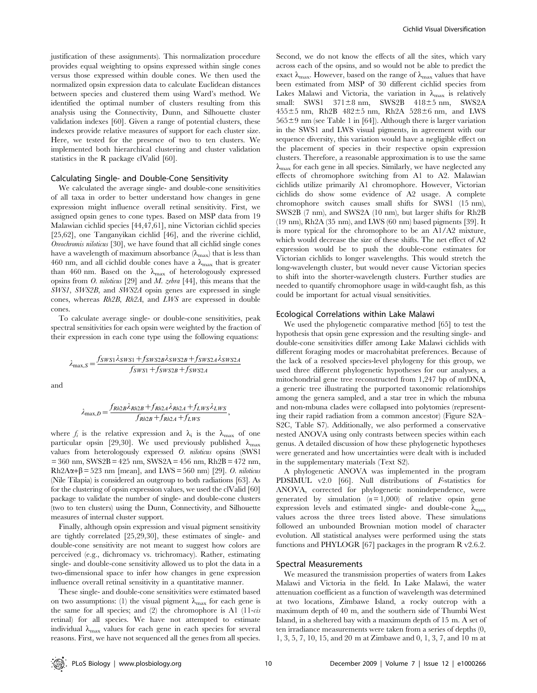justification of these assignments). This normalization procedure provides equal weighting to opsins expressed within single cones versus those expressed within double cones. We then used the normalized opsin expression data to calculate Euclidean distances between species and clustered them using Ward's method. We identified the optimal number of clusters resulting from this analysis using the Connectivity, Dunn, and Silhouette cluster validation indexes [60]. Given a range of potential clusters, these indexes provide relative measures of support for each cluster size. Here, we tested for the presence of two to ten clusters. We implemented both hierarchical clustering and cluster validation statistics in the R package clValid [60].

#### Calculating Single- and Double-Cone Sensitivity

We calculated the average single- and double-cone sensitivities of all taxa in order to better understand how changes in gene expression might influence overall retinal sensitivity. First, we assigned opsin genes to cone types. Based on MSP data from 19 Malawian cichlid species [44,47,61], nine Victorian cichlid species [25,62], one Tanganyikan cichlid [46], and the riverine cichlid, Oreochromis niloticus [30], we have found that all cichlid single cones have a wavelength of maximum absorbance  $(\lambda_{\text{max}})$  that is less than 460 nm, and all cichlid double cones have a  $\lambda_{\text{max}}$  that is greater than 460 nm. Based on the  $\lambda_{\text{max}}$  of heterologously expressed opsins from *O. niloticus* [29] and *M. zebra* [44], this means that the SWS1, SWS2B, and SWS2A opsin genes are expressed in single cones, whereas Rh2B, Rh2A, and LWS are expressed in double cones.

To calculate average single- or double-cone sensitivities, peak spectral sensitivities for each opsin were weighted by the fraction of their expression in each cone type using the following equations:

$$
\lambda_{\text{max},S} = \frac{f_{SWS1} \lambda_{SWS1} + f_{SWS2B} \lambda_{SWS2B} + f_{SWS2A} \lambda_{SWS2A}}{f_{SWS1} + f_{SWS2B} + f_{SWS2A}}
$$

and

$$
\lambda_{\max,D} = \frac{f_{Rh2B}\lambda_{Rh2B} + f_{Rh2A}\lambda_{Rh2A} + f_{LWS}\lambda_{LWS}}{f_{Rh2B} + f_{Rh2A} + f_{LWS}},
$$

where  $f_i$  is the relative expression and  $\lambda_i$  is the  $\lambda_{\text{max}}$  of one particular opsin [29,30]. We used previously published  $\lambda_{\text{max}}$ values from heterologously expressed O. niloticus opsins (SWS1  $= 360$  nm, SWS2B = 425 nm, SWS2A = 456 nm, Rh2B = 472 nm,  $Rh2A\alpha+\beta= 523$  nm [mean], and LWS = 560 nm) [29]. O. niloticus (Nile Tilapia) is considered an outgroup to both radiations [63]. As for the clustering of opsin expression values, we used the clValid [60] package to validate the number of single- and double-cone clusters (two to ten clusters) using the Dunn, Connectivity, and Silhouette measures of internal cluster support.

Finally, although opsin expression and visual pigment sensitivity are tightly correlated [25,29,30], these estimates of single- and double-cone sensitivity are not meant to suggest how colors are perceived (e.g., dichromacy vs. trichromacy). Rather, estimating single- and double-cone sensitivity allowed us to plot the data in a two-dimensional space to infer how changes in gene expression influence overall retinal sensitivity in a quantitative manner.

These single- and double-cone sensitivities were estimated based on two assumptions: (1) the visual pigment  $\lambda_{\text{max}}$  for each gene is the same for all species; and (2) the chromophore is A1 (11-cis retinal) for all species. We have not attempted to estimate individual  $\lambda_{\text{max}}$  values for each gene in each species for several reasons. First, we have not sequenced all the genes from all species.

Second, we do not know the effects of all the sites, which vary across each of the opsins, and so would not be able to predict the exact  $\lambda_{\text{max}}$ . However, based on the range of  $\lambda_{\text{max}}$  values that have been estimated from MSP of 30 different cichlid species from Lakes Malawi and Victoria, the variation in  $\lambda_{\text{max}}$  is relatively small: SWS1  $371\pm8$  nm, SWS2B  $418\pm5$  nm, SWS2A  $455\pm5$  nm, Rh2B  $482\pm5$  nm, Rh2A  $528\pm6$  nm, and LWS  $565\pm9$  nm (see Table 1 in [64]). Although there is larger variation in the SWS1 and LWS visual pigments, in agreement with our sequence diversity, this variation would have a negligible effect on the placement of species in their respective opsin expression clusters. Therefore, a reasonable approximation is to use the same  $\lambda_{\text{max}}$  for each gene in all species. Similarly, we have neglected any effects of chromophore switching from A1 to A2. Malawian cichlids utilize primarily A1 chromophore. However, Victorian cichlids do show some evidence of A2 usage. A complete chromophore switch causes small shifts for SWS1 (15 nm), SWS2B (7 nm), and SWS2A (10 nm), but larger shifts for Rh2B (19 nm), Rh2A (35 nm), and LWS (60 nm) based pigments [39]. It is more typical for the chromophore to be an A1/A2 mixture, which would decrease the size of these shifts. The net effect of A2 expression would be to push the double-cone estimates for Victorian cichlids to longer wavelengths. This would stretch the long-wavelength cluster, but would never cause Victorian species to shift into the shorter-wavelength clusters. Further studies are needed to quantify chromophore usage in wild-caught fish, as this could be important for actual visual sensitivities.

#### Ecological Correlations within Lake Malawi

We used the phylogenetic comparative method [65] to test the hypothesis that opsin gene expression and the resulting single- and double-cone sensitivities differ among Lake Malawi cichlids with different foraging modes or macrohabitat preferences. Because of the lack of a resolved species-level phylogeny for this group, we used three different phylogenetic hypotheses for our analyses, a mitochondrial gene tree reconstructed from 1,247 bp of mtDNA, a generic tree illustrating the purported taxonomic relationships among the genera sampled, and a star tree in which the mbuna and non-mbuna clades were collapsed into polytomies (representing their rapid radiation from a common ancestor) (Figure S2A– S2C, Table S7). Additionally, we also performed a conservative nested ANOVA using only contrasts between species within each genus. A detailed discussion of how these phylogenetic hypotheses were generated and how uncertainties were dealt with is included in the supplementary materials (Text S2).

A phylogenetic ANOVA was implemented in the program PDSIMUL v2.0 [66]. Null distributions of F-statistics for ANOVA, corrected for phylogenetic nonindependence, were generated by simulation  $(n=1,000)$  of relative opsin gene expression levels and estimated single- and double-cone  $\lambda_{\text{max}}$ values across the three trees listed above. These simulations followed an unbounded Brownian motion model of character evolution. All statistical analyses were performed using the stats functions and PHYLOGR [67] packages in the program R v2.6.2.

#### Spectral Measurements

We measured the transmission properties of waters from Lakes Malawi and Victoria in the field. In Lake Malawi, the water attenuation coefficient as a function of wavelength was determined at two locations, Zimbawe Island, a rocky outcrop with a maximum depth of 40 m, and the southern side of Thumbi West Island, in a sheltered bay with a maximum depth of 15 m. A set of ten irradiance measurements were taken from a series of depths (0, 1, 3, 5, 7, 10, 15, and 20 m at Zimbawe and 0, 1, 3, 7, and 10 m at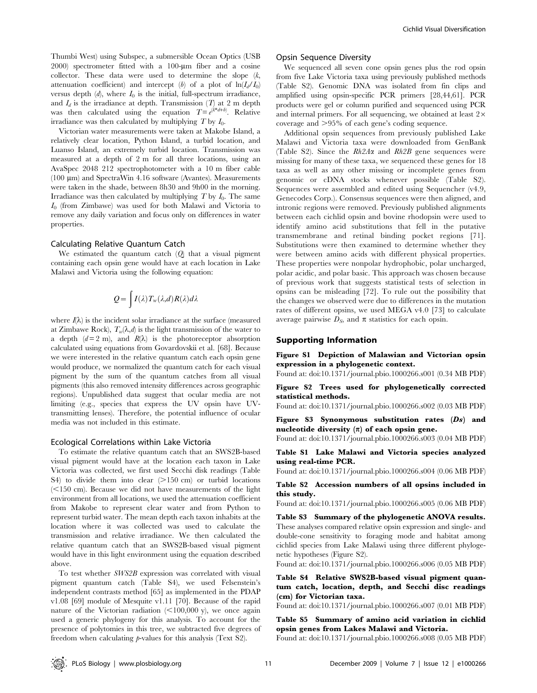Thumbi West) using Subspec, a submersible Ocean Optics (USB  $2000$ ) spectrometer fitted with a  $100-\mu m$  fiber and a cosine collector. These data were used to determine the slope (k, attenuation coefficient) and intercept (b) of a plot of  $\ln(I_d/I_0)$ versus depth  $(d)$ , where  $I_0$  is the initial, full-spectrum irradiance, and  $I_d$  is the irradiance at depth. Transmission (T) at 2 m depth was then calculated using the equation  $T=e^{(k^*d+b)}$ . Relative irradiance was then calculated by multiplying  $T$  by  $I_0$ .

Victorian water measurements were taken at Makobe Island, a relatively clear location, Python Island, a turbid location, and Luanso Island, an extremely turbid location. Transmission was measured at a depth of 2 m for all three locations, using an AvaSpec 2048 212 spectrophotometer with a 10 m fiber cable (100  $\mu$ m) and SpectraWin 4.16 software (Avantes). Measurements were taken in the shade, between 8h30 and 9h00 in the morning. Irradiance was then calculated by multiplying  $T$  by  $I_0$ . The same  $I_0$  (from Zimbawe) was used for both Malawi and Victoria to remove any daily variation and focus only on differences in water properties.

#### Calculating Relative Quantum Catch

We estimated the quantum catch  $(Q)$  that a visual pigment containing each opsin gene would have at each location in Lake Malawi and Victoria using the following equation:

$$
Q = \int I(\lambda) T_w(\lambda, d) R(\lambda) d\lambda
$$

where  $I(\lambda)$  is the incident solar irradiance at the surface (measured at Zimbawe Rock),  $T_w(\lambda, d)$  is the light transmission of the water to a depth  $(d=2 \text{ m})$ , and  $R(\lambda)$  is the photoreceptor absorption calculated using equations from Govardovskii et al. [68]. Because we were interested in the relative quantum catch each opsin gene would produce, we normalized the quantum catch for each visual pigment by the sum of the quantum catches from all visual pigments (this also removed intensity differences across geographic regions). Unpublished data suggest that ocular media are not limiting (e.g., species that express the UV opsin have UVtransmitting lenses). Therefore, the potential influence of ocular media was not included in this estimate.

#### Ecological Correlations within Lake Victoria

To estimate the relative quantum catch that an SWS2B-based visual pigment would have at the location each taxon in Lake Victoria was collected, we first used Secchi disk readings (Table S4) to divide them into clear  $(>150 \text{ cm})$  or turbid locations  $(<150$  cm). Because we did not have measurements of the light environment from all locations, we used the attenuation coefficient from Makobe to represent clear water and from Python to represent turbid water. The mean depth each taxon inhabits at the location where it was collected was used to calculate the transmission and relative irradiance. We then calculated the relative quantum catch that an SWS2B-based visual pigment would have in this light environment using the equation described above.

To test whether SWS2B expression was correlated with visual pigment quantum catch (Table S4), we used Felsenstein's independent contrasts method [65] as implemented in the PDAP v1.08 [69] module of Mesquite v1.11 [70]. Because of the rapid nature of the Victorian radiation  $\approx$  100,000 y), we once again used a generic phylogeny for this analysis. To account for the presence of polytomies in this tree, we subtracted five degrees of freedom when calculating  $p$ -values for this analysis (Text S2).

#### Opsin Sequence Diversity

We sequenced all seven cone opsin genes plus the rod opsin from five Lake Victoria taxa using previously published methods (Table S2). Genomic DNA was isolated from fin clips and amplified using opsin-specific PCR primers [28,44,61]. PCR products were gel or column purified and sequenced using PCR and internal primers. For all sequencing, we obtained at least 2*6* coverage and  $>95\%$  of each gene's coding sequence.

Additional opsin sequences from previously published Lake Malawi and Victoria taxa were downloaded from GenBank (Table S2). Since the  $Rh2A\alpha$  and  $Rh2B$  gene sequences were missing for many of these taxa, we sequenced these genes for 18 taxa as well as any other missing or incomplete genes from genomic or cDNA stocks whenever possible (Table S2). Sequences were assembled and edited using Sequencher (v4.9, Genecodes Corp.). Consensus sequences were then aligned, and intronic regions were removed. Previously published alignments between each cichlid opsin and bovine rhodopsin were used to identify amino acid substitutions that fell in the putative transmembrane and retinal binding pocket regions [71]. Substitutions were then examined to determine whether they were between amino acids with different physical properties. These properties were nonpolar hydrophobic, polar uncharged, polar acidic, and polar basic. This approach was chosen because of previous work that suggests statistical tests of selection in opsins can be misleading [72]. To rule out the possibility that the changes we observed were due to differences in the mutation rates of different opsins, we used MEGA v4.0 [73] to calculate average pairwise  $D_s$ , and  $\pi$  statistics for each opsin.

## Supporting Information

Figure S1 Depiction of Malawian and Victorian opsin expression in a phylogenetic context.

Found at: doi:10.1371/journal.pbio.1000266.s001 (0.34 MB PDF)

Figure S2 Trees used for phylogenetically corrected statistical methods.

Found at: doi:10.1371/journal.pbio.1000266.s002 (0.03 MB PDF)

Figure S3 Synonymous substitution rates (Ds) and nucleotide diversity  $(n)$  of each opsin gene.

Found at: doi:10.1371/journal.pbio.1000266.s003 (0.04 MB PDF)

Table S1 Lake Malawi and Victoria species analyzed using real-time PCR.

Found at: doi:10.1371/journal.pbio.1000266.s004 (0.06 MB PDF)

Table S2 Accession numbers of all opsins included in this study.

Found at: doi:10.1371/journal.pbio.1000266.s005 (0.06 MB PDF)

Table S3 Summary of the phylogenetic ANOVA results. These analyses compared relative opsin expression and single- and double-cone sensitivity to foraging mode and habitat among cichlid species from Lake Malawi using three different phylogenetic hypotheses (Figure S2).

Found at: doi:10.1371/journal.pbio.1000266.s006 (0.05 MB PDF)

Table S4 Relative SWS2B-based visual pigment quantum catch, location, depth, and Secchi disc readings (cm) for Victorian taxa.

Found at: doi:10.1371/journal.pbio.1000266.s007 (0.01 MB PDF)

Table S5 Summary of amino acid variation in cichlid opsin genes from Lakes Malawi and Victoria.

Found at: doi:10.1371/journal.pbio.1000266.s008 (0.05 MB PDF)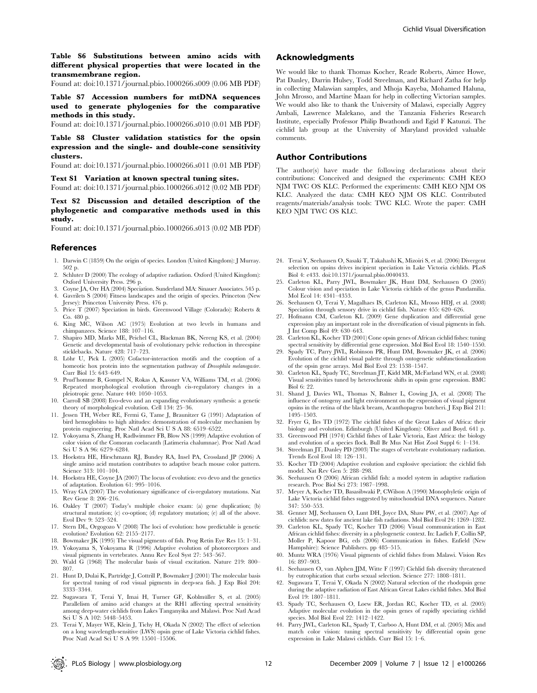## Table S6 Substitutions between amino acids with different physical properties that were located in the transmembrane region.

Found at: doi:10.1371/journal.pbio.1000266.s009 (0.06 MB PDF)

Table S7 Accession numbers for mtDNA sequences used to generate phylogenies for the comparative methods in this study.

Found at: doi:10.1371/journal.pbio.1000266.s010 (0.01 MB PDF)

Table S8 Cluster validation statistics for the opsin expression and the single- and double-cone sensitivity clusters.

Found at: doi:10.1371/journal.pbio.1000266.s011 (0.01 MB PDF)

Text S1 Variation at known spectral tuning sites. Found at: doi:10.1371/journal.pbio.1000266.s012 (0.02 MB PDF)

## Text S2 Discussion and detailed description of the phylogenetic and comparative methods used in this study.

Found at: doi:10.1371/journal.pbio.1000266.s013 (0.02 MB PDF)

#### References

- 1. Darwin C (1859) On the origin of species. London (United Kingdom): J Murray. 502 p.
- 2. Schluter D (2000) The ecology of adaptive radiation. Oxford (United Kingdom): Oxford University Press. 296 p.
- 3. Coyne JA, Orr HA (2004) Speciation. Sunderland MA: Sinauer Associates. 545 p. 4. Gavrilets S (2004) Fitness landscapes and the origin of species. Princeton (New
- Jersey): Princeton University Press. 476 p. 5. Price T (2007) Speciation in birds. Greenwood Village (Colorado): Roberts &
- Co. 480 p. 6. King MC, Wilson AC (1975) Evolution at two levels in humans and chimpanzees. Science 188: 107–116.
- 7. Shapiro MD, Marks ME, Peichel CL, Blackman BK, Nereng KS, et al. (2004) Genetic and developmental basis of evolutionary pelvic reduction in threespine sticklebacks. Nature 428: 717–723.
- 8. Löhr U, Pick L (2005) Cofactor-interaction motifs and the cooption of a homeotic hox protein into the segmentation pathway of Drosophila melanogaster. Curr Biol 15: 643–649.
- 9. Prud'homme B, Gompel N, Rokas A, Kassner VA, Williams TM, et al. (2006) Repeated morphological evolution through cis-regulatory changes in a pleiotropic gene. Nature 440: 1050–1053.
- 10. Carroll SB (2008) Evo-devo and an expanding evolutionary synthesis: a genetic theory of morphological evolution. Cell 134: 25–36.
- 11. Jessen TH, Weber RE, Fermi G, Tame J, Braunitzer G (1991) Adaptation of bird hemoglobins to high altitudes: demonstration of molecular mechanism by protein engineering. Proc Natl Acad Sci U S A 88: 6519–6522.
- 12. Yokoyama S, Zhang H, Radlwimmer FB, Blow NS (1999) Adaptive evolution of color vision of the Comoran coelacanth (Latimeria chalumnae). Proc Natl Acad Sci U S A 96: 6279–6284.
- 13. Hoekstra HE, Hirschmann RJ, Bundey RA, Insel PA, Crossland JP (2006) A single amino acid mutation contributes to adaptive beach mouse color pattern. Science 313: 101–104.
- 14. Hoekstra HE, Coyne JA (2007) The locus of evolution: evo devo and the genetics of adaptation. Evolution 61: 995–1016.
- 15. Wray GA (2007) The evolutionary significance of cis-regulatory mutations. Nat Rev Gene 8: 206–216.
- 16. Oakley T (2007) Today's multiple choice exam: (a) gene duplication; (b) structural mutation; (c) co-option; (d) regulatory mutation; (e) all of the above. Evol Dev 9: 523–524.
- 17. Stern DL, Orgogozo V (2008) The loci of evolution: how predictable is genetic evolution? Evolution 62: 2155–2177.
- 18. Bowmaker JK (1995) The visual pigments of fish. Prog Retin Eye Res 15: 1–31.
- 19. Yokoyama S, Yokoyama R (1996) Adaptive evolution of photoreceptors and visual pigments in vertebrates. Annu Rev Ecol Syst 27: 543–567. 20. Wald G (1968) The molecular basis of visual excitation. Nature 219: 800–
- 807.
- 21. Hunt D, Dulai K, Partridge J, Cottrill P, Bowmaker J (2001) The molecular basis for spectral tuning of rod visual pigments in deep-sea fish. J Exp Biol 204: 3333–3344.
- 22. Sugawara T, Terai Y, Imai H, Turner GF, Koblmüller S, et al. (2005) Parallelism of amino acid changes at the RH1 affecting spectral sensitivity among deep-water cichlids from Lakes Tanganyika and Malawi. Proc Natl Acad Sci U S A 102: 5448–5453.
- 23. Terai Y, Mayer WE, Klein J, Tichy H, Okada N (2002) The effect of selection on a long wavelength-sensitive (LWS) opsin gene of Lake Victoria cichlid fishes. Proc Natl Acad Sci U S A 99: 15501-15506.

#### Acknowledgments

We would like to thank Thomas Kocher, Reade Roberts, Aimee Howe, Pat Danley, Darrin Hulsey, Todd Streelman, and Richard Zatha for help in collecting Malawian samples, and Mhoja Kayeba, Mohamed Haluna, John Mrosso, and Martine Maan for help in collecting Victorian samples. We would also like to thank the University of Malawi, especially Aggrey Ambali, Lawrence Malekano, and the Tanzania Fisheries Research Institute, especially Professor Philip Bwathondi and Egid F Katunzi. The cichlid lab group at the University of Maryland provided valuable comments.

## Author Contributions

The author(s) have made the following declarations about their contributions: Conceived and designed the experiments: CMH KEO NJM TWC OS KLC. Performed the experiments: CMH KEO NJM OS KLC. Analyzed the data: CMH KEO NJM OS KLC. Contributed reagents/materials/analysis tools: TWC KLC. Wrote the paper: CMH KEO NJM TWC OS KLC.

- 24. Terai Y, Seehausen O, Sasaki T, Takahashi K, Mizoiri S, et al. (2006) Divergent selection on opsins drives incipient speciation in Lake Victoria cichlids. PLoS Biol 4: e433. doi:10.1371/journal.pbio.0040433.
- 25. Carleton KL, Parry JWL, Bowmaker JK, Hunt DM, Seehausen O (2005) Colour vision and speciation in Lake Victoria cichlids of the genus Pundamilia. Mol Ecol 14: 4341–4353.
- 26. Seehausen O, Terai Y, Magalhaes IS, Carleton KL, Mrosso HDJ, et al. (2008) Speciation through sensory drive in cichlid fish. Nature 455: 620–626.
- 27. Hofmann CM, Carleton KL (2009) Gene duplication and differential gene expression play an important role in the diversification of visual pigments in fish. J Int Comp Biol 49: 630–643.
- 28. Carleton KL, Kocher TD (2001) Cone opsin genes of African cichlid fishes: tuning spectral sensitivity by differential gene expression. Mol Biol Evol 18: 1540–1550.
- 29. Spady TC, Parry JWL, Robinson PR, Hunt DM, Bowmaker JK, et al. (2006) Evolution of the cichlid visual palette through ontogenetic subfunctionalization
- of the opsin gene arrays. Mol Biol Evol 23: 1538–1547. 30. Carleton KL, Spady TC, Streelman JT, Kidd MR, McFarland WN, et al. (2008) Visual sensitivities tuned by heterochronic shifts in opsin gene expression. BMC Biol 6: 22.
- 31. Shand J, Davies WL, Thomas N, Balmer L, Cowing JA, et al. (2008) The influence of ontogeny and light environment on the expression of visual pigment opsins in the retina of the black bream, Acanthopagrus butcheri. J Exp Biol 211: 1495–1503.
- 32. Fryer G, Iles TD (1972) The cichlid fishes of the Great Lakes of Africa: their biology and evolution. Edinburgh (United Kingdom): Oliver and Boyd. 641 p.
- 33. Greenwood PH (1974) Cichlid fishes of Lake Victoria, East Africa: the biology and evolution of a species flock. Bull Br Mus Nat Hist Zool Suppl 6: 1–134.
- 34. Streelman JT, Danley PD (2003) The stages of vertebrate evolutionary radiation. Trends Ecol Evol 18: 126–131.
- 35. Kocher TD (2004) Adaptive evolution and explosive speciation: the cichlid fish model. Nat Rev Gen 5: 288–298.
- 36. Seehausen O (2006) African cichlid fish: a model system in adaptive radiation research. Proc Biol Sci 273: 1987–1998.
- 37. Meyer A, Kocher TD, Basasibwaki P, CWilson A (1990) Monophyletic origin of Lake Victoria cichlid fishes suggested by mitochondrial DNA sequences. Nature 347: 550–553.
- 38. Genner MJ, Seehausen O, Lunt DH, Joyce DA, Shaw PW, et al. (2007) Age of cichlids: new dates for ancient lake fish radiations. Mol Biol Evol 24: 1269–1282.
- 39. Carleton KL, Spady TC, Kocher TD (2006) Visual communication in East African cichlid fishes: diversity in a phylogenetic context. In: Ladich F, Collin SP, Moller P, Kapoor BG, eds (2006) Communication in fishes. Enfield (New Hampshire): Science Publishers. pp 485–515.
- 40. Muntz WRA (1976) Visual pigments of cichlid fishes from Malawi. Vision Res 16: 897–903.
- 41. Seehausen O, van Alphen JJM, Witte F (1997) Cichlid fish diversity threatened by eutrophication that curbs sexual selection. Science 277: 1808–1811.
- 42. Sugawara T, Terai Y, Okada N (2002) Natural selection of the rhodopsin gene during the adaptive radiation of East African Great Lakes cichlid fishes. Mol Biol Evol 19: 1807–1811.
- 43. Spady TC, Seehausen O, Loew ER, Jordan RC, Kocher TD, et al. (2005) Adaptive molecular evolution in the opsin genes of rapidly speciating cichlid species. Mol Biol Evol 22: 1412–1422.
- 44. Parry JWL, Carleton KL, Spady T, Carboo A, Hunt DM, et al. (2005) Mix and match color vision: tuning spectral sensitivity by differential opsin gene expression in Lake Malawi cichlids. Curr Biol 15: 1–6.